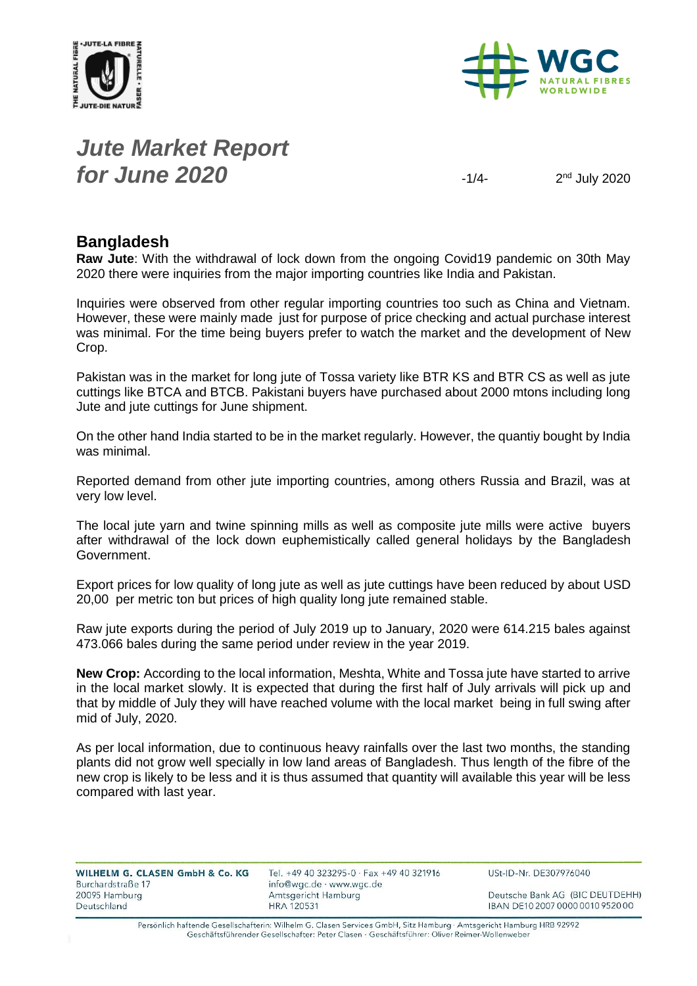



## *Jute Market Report for June 2020*

 $2<sup>nd</sup>$  July 2020

#### **Bangladesh**

**Raw Jute**: With the withdrawal of lock down from the ongoing Covid19 pandemic on 30th May 2020 there were inquiries from the major importing countries like India and Pakistan.

Inquiries were observed from other regular importing countries too such as China and Vietnam. However, these were mainly made just for purpose of price checking and actual purchase interest was minimal. For the time being buyers prefer to watch the market and the development of New Crop.

Pakistan was in the market for long jute of Tossa variety like BTR KS and BTR CS as well as jute cuttings like BTCA and BTCB. Pakistani buyers have purchased about 2000 mtons including long Jute and jute cuttings for June shipment.

On the other hand India started to be in the market regularly. However, the quantiy bought by India was minimal.

Reported demand from other jute importing countries, among others Russia and Brazil, was at very low level.

The local jute yarn and twine spinning mills as well as composite jute mills were active buyers after withdrawal of the lock down euphemistically called general holidays by the Bangladesh Government.

Export prices for low quality of long jute as well as jute cuttings have been reduced by about USD 20,00 per metric ton but prices of high quality long jute remained stable.

Raw jute exports during the period of July 2019 up to January, 2020 were 614.215 bales against 473.066 bales during the same period under review in the year 2019.

**New Crop:** According to the local information, Meshta, White and Tossa jute have started to arrive in the local market slowly. It is expected that during the first half of July arrivals will pick up and that by middle of July they will have reached volume with the local market being in full swing after mid of July, 2020.

As per local information, due to continuous heavy rainfalls over the last two months, the standing plants did not grow well specially in low land areas of Bangladesh. Thus length of the fibre of the new crop is likely to be less and it is thus assumed that quantity will available this year will be less compared with last year.

| <b>WILHELM G. CLASEN GmbH &amp; Co. KG</b> |  |  |  |
|--------------------------------------------|--|--|--|
| Burchardstraße 17                          |  |  |  |
| 20095 Hamburg                              |  |  |  |
| Deutschland                                |  |  |  |

Tel. +49 40 323295-0 · Fax +49 40 321916 info@wgc.de · www.wgc.de Amtsgericht Hamburg **HRA 120531** 

USt-ID-Nr. DE307976040

Deutsche Bank AG (BIC DEUTDEHH) IBAN DE10 2007 0000 0010 9520 00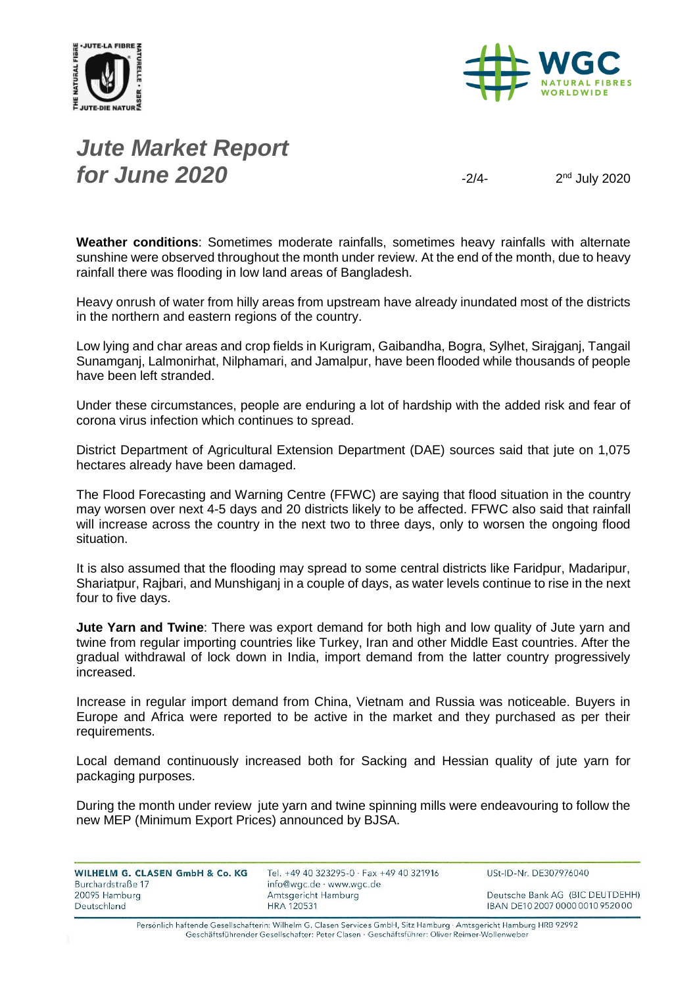



# *Jute Market Report for June 2020*  $\frac{1}{2}$

 $2<sup>nd</sup>$  July 2020

**Weather conditions**: Sometimes moderate rainfalls, sometimes heavy rainfalls with alternate sunshine were observed throughout the month under review. At the end of the month, due to heavy rainfall there was flooding in low land areas of Bangladesh.

Heavy onrush of water from hilly areas from upstream have already inundated most of the districts in the northern and eastern regions of the country.

Low lying and char areas and crop fields in Kurigram, Gaibandha, Bogra, Sylhet, Sirajganj, Tangail Sunamganj, Lalmonirhat, Nilphamari, and Jamalpur, have been flooded while thousands of people have been left stranded.

Under these circumstances, people are enduring a lot of hardship with the added risk and fear of corona virus infection which continues to spread.

District Department of Agricultural Extension Department (DAE) sources said that jute on 1,075 hectares already have been damaged.

The Flood Forecasting and Warning Centre (FFWC) are saying that flood situation in the country may worsen over next 4-5 days and 20 districts likely to be affected. FFWC also said that rainfall will increase across the country in the next two to three days, only to worsen the ongoing flood situation.

It is also assumed that the flooding may spread to some central districts like Faridpur, Madaripur, Shariatpur, Rajbari, and Munshiganj in a couple of days, as water levels continue to rise in the next four to five days.

**Jute Yarn and Twine**: There was export demand for both high and low quality of Jute yarn and twine from regular importing countries like Turkey, Iran and other Middle East countries. After the gradual withdrawal of lock down in India, import demand from the latter country progressively increased.

Increase in regular import demand from China, Vietnam and Russia was noticeable. Buyers in Europe and Africa were reported to be active in the market and they purchased as per their requirements.

Local demand continuously increased both for Sacking and Hessian quality of jute yarn for packaging purposes.

During the month under review jute yarn and twine spinning mills were endeavouring to follow the new MEP (Minimum Export Prices) announced by BJSA.

| WILHELM G. CLASEN GmbH & Co. KG<br>Burchardstraße 17 | Tel. +49 40 323295-0 · Fax +49 40 321916<br>info@wgc.de · www.wgc.de | USt-ID-Nr. DE307976040           |
|------------------------------------------------------|----------------------------------------------------------------------|----------------------------------|
| 20095 Hamburg                                        | Amtsgericht Hamburg                                                  | Deutsche Bank AG (BIC DEUTDEHH)  |
| Deutschland                                          | <b>HRA 120531</b>                                                    | IBAN DE10 2007 0000 0010 9520 00 |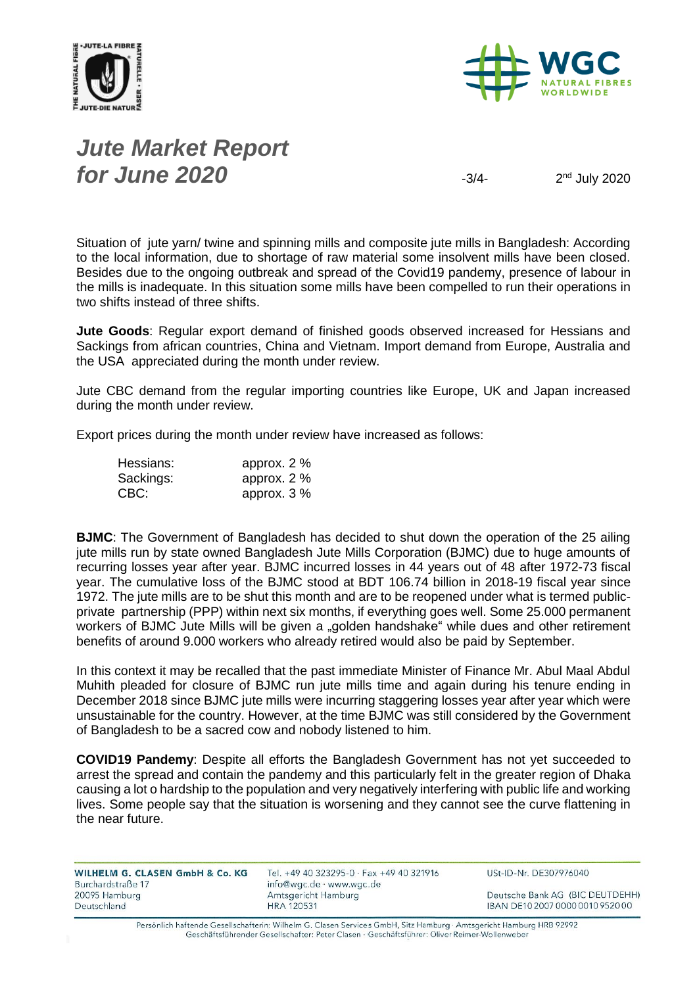



# *Jute Market Report for June 2020*  $\frac{3}{4}$

 $2<sup>nd</sup>$  July 2020

Situation of jute yarn/ twine and spinning mills and composite jute mills in Bangladesh: According to the local information, due to shortage of raw material some insolvent mills have been closed. Besides due to the ongoing outbreak and spread of the Covid19 pandemy, presence of labour in the mills is inadequate. In this situation some mills have been compelled to run their operations in two shifts instead of three shifts.

**Jute Goods**: Regular export demand of finished goods observed increased for Hessians and Sackings from african countries, China and Vietnam. Import demand from Europe, Australia and the USA appreciated during the month under review.

Jute CBC demand from the regular importing countries like Europe, UK and Japan increased during the month under review.

Export prices during the month under review have increased as follows:

| Hessians: | approx. $2\%$ |
|-----------|---------------|
| Sackings: | approx. $2\%$ |
| CBC:      | approx. $3\%$ |

**BJMC**: The Government of Bangladesh has decided to shut down the operation of the 25 ailing jute mills run by state owned Bangladesh Jute Mills Corporation (BJMC) due to huge amounts of recurring losses year after year. BJMC incurred losses in 44 years out of 48 after 1972-73 fiscal year. The cumulative loss of the BJMC stood at BDT 106.74 billion in 2018-19 fiscal year since 1972. The jute mills are to be shut this month and are to be reopened under what is termed publicprivate partnership (PPP) within next six months, if everything goes well. Some 25.000 permanent workers of BJMC Jute Mills will be given a "golden handshake" while dues and other retirement benefits of around 9.000 workers who already retired would also be paid by September.

In this context it may be recalled that the past immediate Minister of Finance Mr. Abul Maal Abdul Muhith pleaded for closure of BJMC run jute mills time and again during his tenure ending in December 2018 since BJMC jute mills were incurring staggering losses year after year which were unsustainable for the country. However, at the time BJMC was still considered by the Government of Bangladesh to be a sacred cow and nobody listened to him.

**COVID19 Pandemy**: Despite all efforts the Bangladesh Government has not yet succeeded to arrest the spread and contain the pandemy and this particularly felt in the greater region of Dhaka causing a lot o hardship to the population and very negatively interfering with public life and working lives. Some people say that the situation is worsening and they cannot see the curve flattening in the near future.

| WILHELM G. CLASEN GmbH & Co. KG<br>Burchardstraße 17 | Tel. +49 40 323295-0 · Fax +49 40 321916<br>info@wgc.de · www.wgc.de | USt-ID-Nr. DE307976040           |
|------------------------------------------------------|----------------------------------------------------------------------|----------------------------------|
| 20095 Hamburg                                        | Amtsgericht Hamburg                                                  | Deutsche Bank AG (BIC DEUTDEHH)  |
| Deutschland                                          | <b>HRA 120531</b>                                                    | IBAN DE10 2007 0000 0010 9520 00 |